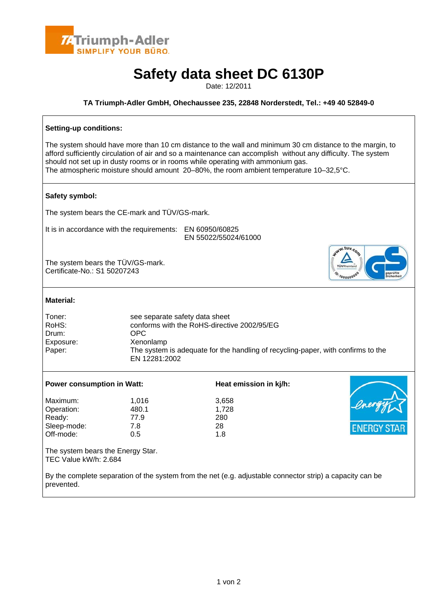

# **Safety data sheet DC 6130P**

Date: 12/2011

#### **TA Triumph-Adler GmbH, Ohechaussee 235, 22848 Norderstedt, Tel.: +49 40 52849-0**

## **Setting-up conditions:**  The system should have more than 10 cm distance to the wall and minimum 30 cm distance to the margin, to afford sufficiently circulation of air and so a maintenance can accomplish without any difficulty. The system should not set up in dusty rooms or in rooms while operating with ammonium gas. The atmospheric moisture should amount 20–80%, the room ambient temperature 10–32,5°C. **Safety symbol:**  The system bears the CE-mark and TÜV/GS-mark. It is in accordance with the requirements: EN 60950/60825 EN 55022/55024/61000 Jww.tuv.com The system bears the TÜV/GS-mark. Certificate-No.: S1 50207243 **Material:**  Toner: see separate safety data sheet<br>RoHS: see separate safety data sheet<br>conforms with the RoHS-directive conforms with the RoHS-directive 2002/95/EG Drum: OPC Exposure: Xenonlamp Paper: The system is adequate for the handling of recycling-paper, with confirms to the EN 12281:2002 Power consumption in Watt: **Heat emission in kj/h:** Maximum: 1,016 3,658 Operation: 480.1 1,728 Ready: 77.9 280 Sleep-mode: 7.8 28 Off-mode: 0.5 1.8 The system bears the Energy Star. TEC Value kW/h: 2.684 By the complete separation of the system from the net (e.g. adjustable connector strip) a capacity can be prevented.